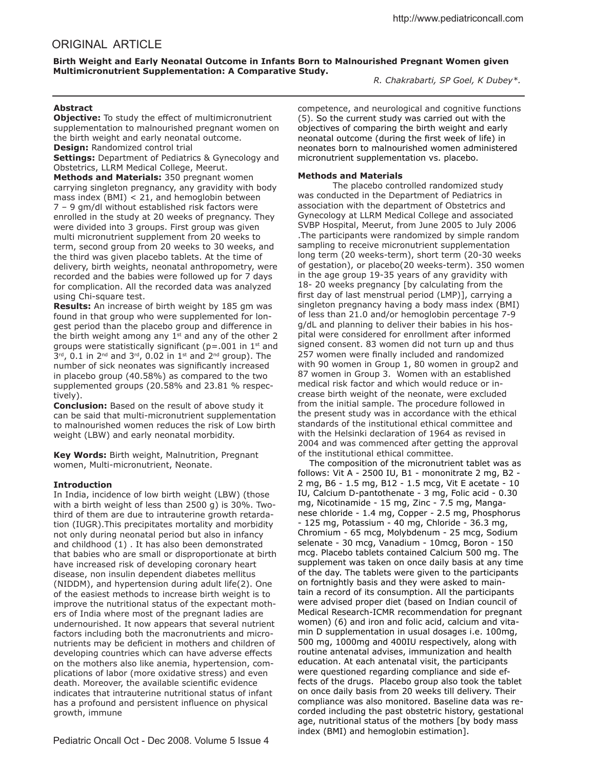# ORIGINAL ARTICLE

**Birth Weight and Early Neonatal Outcome in Infants Born to Malnourished Pregnant Women given Multimicronutrient Supplementation: A Comparative Study.**

*R. Chakrabarti, SP Goel, K Dubey\*.* 

## **Abstract**

**Objective:** To study the effect of multimicronutrient supplementation to malnourished pregnant women on the birth weight and early neonatal outcome. **Design:** Randomized control trial

**Settings:** Department of Pediatrics & Gynecology and Obstetrics, LLRM Medical College, Meerut.

**Methods and Materials:** 350 pregnant women carrying singleton pregnancy, any gravidity with body mass index (BMI) < 21, and hemoglobin between 7 – 9 gm/dl without established risk factors were enrolled in the study at 20 weeks of pregnancy. They were divided into 3 groups. First group was given multi micronutrient supplement from 20 weeks to term, second group from 20 weeks to 30 weeks, and the third was given placebo tablets. At the time of delivery, birth weights, neonatal anthropometry, were recorded and the babies were followed up for 7 days for complication. All the recorded data was analyzed using Chi-square test.

**Results:** An increase of birth weight by 185 gm was found in that group who were supplemented for longest period than the placebo group and diference in the birth weight among any  $1<sup>st</sup>$  and any of the other 2 groups were statistically significant ( $p = .001$  in 1<sup>st</sup> and  $3^{rd}$ , 0.1 in 2<sup>nd</sup> and 3<sup>rd</sup>, 0.02 in 1<sup>st</sup> and 2<sup>nd</sup> group). The number of sick neonates was significantly increased in placebo group (40.58%) as compared to the two supplemented groups (20.58% and 23.81 % respectively).

**Conclusion:** Based on the result of above study it can be said that multi-micronutrient supplementation to malnourished women reduces the risk of Low birth weight (LBW) and early neonatal morbidity.

**Key Words:** Birth weight, Malnutrition, Pregnant women, Multi-micronutrient, Neonate.

## **Introduction**

In India, incidence of low birth weight (LBW) (those with a birth weight of less than 2500 g) is 30%. Twothird of them are due to intrauterine growth retardation (IUGR).This precipitates mortality and morbidity not only during neonatal period but also in infancy and childhood (1) . It has also been demonstrated that babies who are small or disproportionate at birth have increased risk of developing coronary heart disease, non insulin dependent diabetes mellitus (NIDDM), and hypertension during adult life(2). One of the easiest methods to increase birth weight is to improve the nutritional status of the expectant mothers of India where most of the pregnant ladies are undernourished. It now appears that several nutrient factors including both the macronutrients and micronutrients may be deficient in mothers and children of developing countries which can have adverse efects on the mothers also like anemia, hypertension, complications of labor (more oxidative stress) and even death. Moreover, the available scientific evidence indicates that intrauterine nutritional status of infant has a profound and persistent influence on physical growth, immune

competence, and neurological and cognitive functions (5). So the current study was carried out with the objectives of comparing the birth weight and early neonatal outcome (during the first week of life) in neonates born to malnourished women administered micronutrient supplementation vs. placebo.

## **Methods and Materials**

The placebo controlled randomized study was conducted in the Department of Pediatrics in association with the department of Obstetrics and Gynecology at LLRM Medical College and associated SVBP Hospital, Meerut, from June 2005 to July 2006 .The participants were randomized by simple random sampling to receive micronutrient supplementation long term (20 weeks-term), short term (20-30 weeks of gestation), or placebo(20 weeks-term). 350 women in the age group 19-35 years of any gravidity with 18- 20 weeks pregnancy [by calculating from the first day of last menstrual period (LMP)], carrying a singleton pregnancy having a body mass index (BMI) of less than 21.0 and/or hemoglobin percentage 7-9 g/dL and planning to deliver their babies in his hospital were considered for enrollment after informed signed consent. 83 women did not turn up and thus 257 women were finally included and randomized with 90 women in Group 1, 80 women in group2 and 87 women in Group 3. Women with an established medical risk factor and which would reduce or increase birth weight of the neonate, were excluded from the initial sample. The procedure followed in the present study was in accordance with the ethical standards of the institutional ethical committee and with the Helsinki declaration of 1964 as revised in 2004 and was commenced after getting the approval of the institutional ethical committee.

 The composition of the micronutrient tablet was as follows: Vit A - 2500 IU, B1 - mononitrate 2 mg, B2 - 2 mg, B6 - 1.5 mg, B12 - 1.5 mcg, Vit E acetate - 10 IU, Calcium D-pantothenate - 3 mg, Folic acid - 0.30 mg, Nicotinamide - 15 mg, Zinc - 7.5 mg, Manganese chloride - 1.4 mg, Copper - 2.5 mg, Phosphorus - 125 mg, Potassium - 40 mg, Chloride - 36.3 mg, Chromium - 65 mcg, Molybdenum - 25 mcg, Sodium selenate - 30 mcg, Vanadium - 10mcg, Boron - 150 mcg. Placebo tablets contained Calcium 500 mg. The supplement was taken on once daily basis at any time of the day. The tablets were given to the participants on fortnightly basis and they were asked to maintain a record of its consumption. All the participants were advised proper diet (based on Indian council of Medical Research-ICMR recommendation for pregnant women) (6) and iron and folic acid, calcium and vitamin D supplementation in usual dosages i.e. 100mg, 500 mg, 1000mg and 400IU respectively, along with routine antenatal advises, immunization and health education. At each antenatal visit, the participants were questioned regarding compliance and side effects of the drugs. Placebo group also took the tablet on once daily basis from 20 weeks till delivery. Their compliance was also monitored. Baseline data was recorded including the past obstetric history, gestational age, nutritional status of the mothers [by body mass index (BMI) and hemoglobin estimation].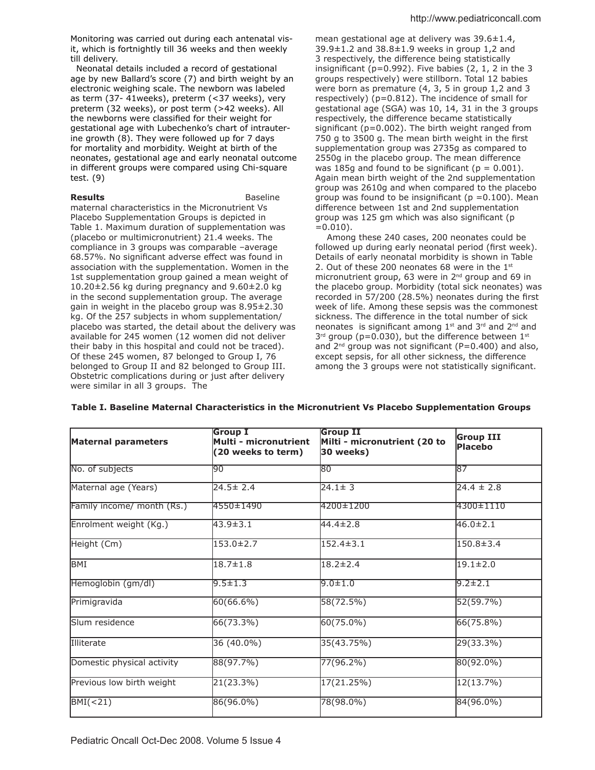Monitoring was carried out during each antenatal visit, which is fortnightly till 36 weeks and then weekly till delivery.

 Neonatal details included a record of gestational age by new Ballard's score (7) and birth weight by an electronic weighing scale. The newborn was labeled as term (37- 41weeks), preterm (<37 weeks), very preterm (32 weeks), or post term (>42 weeks). All the newborns were classified for their weight for gestational age with Lubechenko's chart of intrauterine growth (8). They were followed up for 7 days for mortality and morbidity. Weight at birth of the neonates, gestational age and early neonatal outcome in diferent groups were compared using Chi-square test. (9)

## **Results Baseline**

maternal characteristics in the Micronutrient Vs Placebo Supplementation Groups is depicted in Table 1. Maximum duration of supplementation was (placebo or multimicronutrient) 21.4 weeks. The compliance in 3 groups was comparable –average 68.57%. No significant adverse effect was found in association with the supplementation. Women in the 1st supplementation group gained a mean weight of 10.20±2.56 kg during pregnancy and 9.60±2.0 kg in the second supplementation group. The average gain in weight in the placebo group was 8.95±2.30 kg. Of the 257 subjects in whom supplementation/ placebo was started, the detail about the delivery was available for 245 women (12 women did not deliver their baby in this hospital and could not be traced). Of these 245 women, 87 belonged to Group I, 76 belonged to Group II and 82 belonged to Group III. Obstetric complications during or just after delivery were similar in all 3 groups. The

mean gestational age at delivery was 39.6±1.4, 39.9±1.2 and 38.8±1.9 weeks in group 1,2 and 3 respectively, the diference being statistically insignificant ( $p=0.992$ ). Five babies (2, 1, 2 in the 3 groups respectively) were stillborn. Total 12 babies were born as premature (4, 3, 5 in group 1,2 and 3 respectively) ( $p=0.812$ ). The incidence of small for gestational age (SGA) was 10, 14, 31 in the 3 groups respectively, the diference became statistically significant ( $p=0.002$ ). The birth weight ranged from 750 g to 3500 g. The mean birth weight in the first supplementation group was 2735g as compared to 2550g in the placebo group. The mean diference was 185g and found to be significant ( $p = 0.001$ ). Again mean birth weight of the 2nd supplementation group was 2610g and when compared to the placebo group was found to be insignificant ( $p = 0.100$ ). Mean diference between 1st and 2nd supplementation group was 125 gm which was also significant (p  $=0.010$ ).

 Among these 240 cases, 200 neonates could be followed up during early neonatal period (first week). Details of early neonatal morbidity is shown in Table 2. Out of these 200 neonates 68 were in the  $1<sup>st</sup>$ micronutrient group, 63 were in 2<sup>nd</sup> group and 69 in the placebo group. Morbidity (total sick neonates) was recorded in 57/200 (28.5%) neonates during the first week of life. Among these sepsis was the commonest sickness. The diference in the total number of sick neonates is significant among 1<sup>st</sup> and 3<sup>rd</sup> and 2<sup>nd</sup> and  $3<sup>rd</sup>$  group (p=0.030), but the difference between  $1<sup>st</sup>$ and  $2^{nd}$  group was not significant (P=0.400) and also, except sepsis, for all other sickness, the diference among the 3 groups were not statistically significant.

| <b>Maternal parameters</b> | <b>Group I</b><br>Multi - micronutrient<br>(20 weeks to term) | <b>Group II</b><br>Milti - micronutrient (20 to<br>30 weeks) | <b>Group III</b><br><b>Placebo</b> |  |
|----------------------------|---------------------------------------------------------------|--------------------------------------------------------------|------------------------------------|--|
| No. of subjects            | 190                                                           | 180                                                          | 187                                |  |
| Maternal age (Years)       | $24.5 \pm 2.4$                                                | $24.1 \pm 3$                                                 | $24.4 \pm 2.8$                     |  |
| Family income/ month (Rs.) | 4550±1490                                                     | 4200±1200                                                    | 4300±1110                          |  |
| Enrolment weight (Kg.)     | 43.9±3.1                                                      | $44.4 \pm 2.8$                                               | $46.0 \pm 2.1$                     |  |
| Height (Cm)                | 153.0±2.7                                                     | $152.4 \pm 3.1$                                              | 150.8±3.4                          |  |
| BMI                        | $18.7 \pm 1.8$                                                | $18.2 \pm 2.4$                                               | $19.1 \pm 2.0$                     |  |
| Hemoglobin (gm/dl)         | $9.5 \pm 1.3$                                                 | $9.0 \pm 1.0$                                                | $9.2 \pm 2.1$                      |  |
| Primigravida               | 60(66.6%)                                                     | 58(72.5%)                                                    | 52(59.7%)                          |  |
| Slum residence             | 66(73.3%)                                                     | 60(75.0%)                                                    | 66(75.8%)                          |  |
| Illiterate                 | 36 (40.0%)                                                    | 35(43.75%)                                                   | 29(33.3%)                          |  |
| Domestic physical activity | 88(97.7%)                                                     | 77(96.2%)                                                    | 80(92.0%)                          |  |
| Previous low birth weight  | 21(23.3%)                                                     | 17(21.25%)                                                   | 12(13.7%)                          |  |
| BMI(<21)<br>86(96.0%)      |                                                               | 78(98.0%)                                                    | 84(96.0%)                          |  |

**Table I. Baseline Maternal Characteristics in the Micronutrient Vs Placebo Supplementation Groups**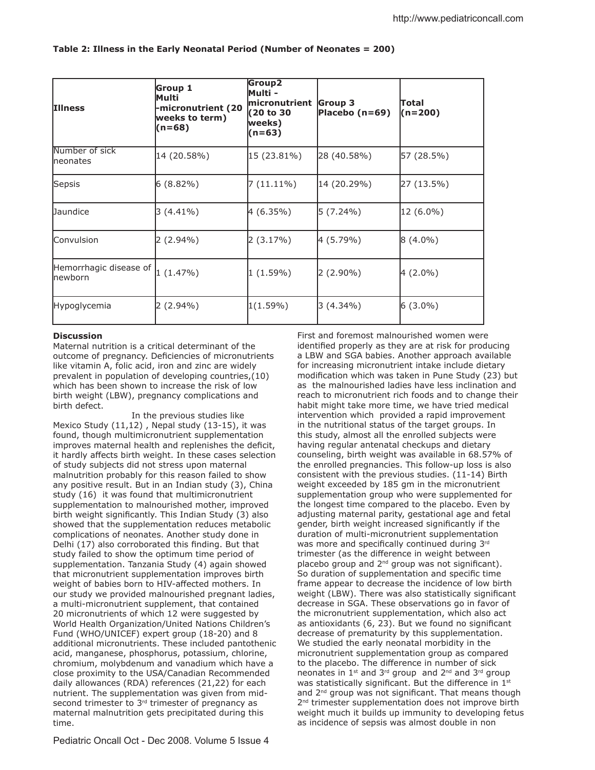| <b>Illness</b>                            | Group 1<br>lMulti<br>micronutrient (20-<br>weeks to term)<br>(n=68) | Group2<br>Multi -<br>micronutrient<br>(20 to 30<br>weeks)<br>$(n=63)$ | Group 3<br>Placebo $(n=69)$ | Total<br>(n=200) |
|-------------------------------------------|---------------------------------------------------------------------|-----------------------------------------------------------------------|-----------------------------|------------------|
| Number of sick<br>Ineonates               | 14 (20.58%)                                                         | 15 (23.81%)                                                           | 28 (40.58%)                 | 57 (28.5%)       |
| Sepsis                                    | $6(8.82\%)$                                                         | $7(11.11\%)$                                                          | 14 (20.29%)                 | 27 (13.5%)       |
| <b>Daundice</b>                           | $3(4.41\%)$                                                         | 4 (6.35%)                                                             | $5(7.24\%)$                 | 12 (6.0%)        |
| Convulsion                                | 2 (2.94%)                                                           | 2 (3.17%)                                                             | 4 (5.79%)                   | 8 (4.0%)         |
| Hemorrhagic disease of<br><b>Inewborn</b> | 1(1.47%)                                                            | $1(1.59\%)$                                                           | 2 (2.90%)                   | 4 (2.0%)         |
| Hypoglycemia                              | $2(2.94\%)$                                                         | $1(1.59\%)$                                                           | 3 (4.34%)                   | $6(3.0\%)$       |

## **Table 2: Illness in the Early Neonatal Period (Number of Neonates = 200)**

## **Discussion**

Maternal nutrition is a critical determinant of the outcome of pregnancy. Deficiencies of micronutrients like vitamin A, folic acid, iron and zinc are widely prevalent in population of developing countries,(10) which has been shown to increase the risk of low birth weight (LBW), pregnancy complications and birth defect.

 In the previous studies like Mexico Study  $(11,12)$ , Nepal study  $(13-15)$ , it was found, though multimicronutrient supplementation improves maternal health and replenishes the deficit, it hardly affects birth weight. In these cases selection of study subjects did not stress upon maternal malnutrition probably for this reason failed to show any positive result. But in an Indian study (3), China study (16) it was found that multimicronutrient supplementation to malnourished mother, improved birth weight significantly. This Indian Study (3) also showed that the supplementation reduces metabolic complications of neonates. Another study done in Delhi (17) also corroborated this finding. But that study failed to show the optimum time period of supplementation. Tanzania Study (4) again showed that micronutrient supplementation improves birth weight of babies born to HIV-affected mothers. In our study we provided malnourished pregnant ladies, a multi-micronutrient supplement, that contained 20 micronutrients of which 12 were suggested by World Health Organization/United Nations Children's Fund (WHO/UNICEF) expert group (18-20) and 8 additional micronutrients. These included pantothenic acid, manganese, phosphorus, potassium, chlorine, chromium, molybdenum and vanadium which have a close proximity to the USA/Canadian Recommended daily allowances (RDA) references (21,22) for each nutrient. The supplementation was given from midsecond trimester to  $3<sup>rd</sup>$  trimester of pregnancy as maternal malnutrition gets precipitated during this time.

First and foremost malnourished women were identified properly as they are at risk for producing a LBW and SGA babies. Another approach available for increasing micronutrient intake include dietary modification which was taken in Pune Study (23) but as the malnourished ladies have less inclination and reach to micronutrient rich foods and to change their habit might take more time, we have tried medical intervention which provided a rapid improvement in the nutritional status of the target groups. In this study, almost all the enrolled subjects were having regular antenatal checkups and dietary counseling, birth weight was available in 68.57% of the enrolled pregnancies. This follow-up loss is also consistent with the previous studies. (11-14) Birth weight exceeded by 185 gm in the micronutrient supplementation group who were supplemented for the longest time compared to the placebo. Even by adjusting maternal parity, gestational age and fetal gender, birth weight increased significantly if the duration of multi-micronutrient supplementation was more and specifically continued during 3rd trimester (as the diference in weight between placebo group and  $2^{nd}$  group was not significant). So duration of supplementation and specific time frame appear to decrease the incidence of low birth weight (LBW). There was also statistically significant decrease in SGA. These observations go in favor of the micronutrient supplementation, which also act as antioxidants (6, 23). But we found no significant decrease of prematurity by this supplementation. We studied the early neonatal morbidity in the micronutrient supplementation group as compared to the placebo. The diference in number of sick neonates in 1<sup>st</sup> and 3<sup>rd</sup> group and 2<sup>nd</sup> and 3<sup>rd</sup> group was statistically significant. But the difference in  $1<sup>st</sup>$ and  $2^{nd}$  group was not significant. That means though 2<sup>nd</sup> trimester supplementation does not improve birth weight much it builds up immunity to developing fetus as incidence of sepsis was almost double in non